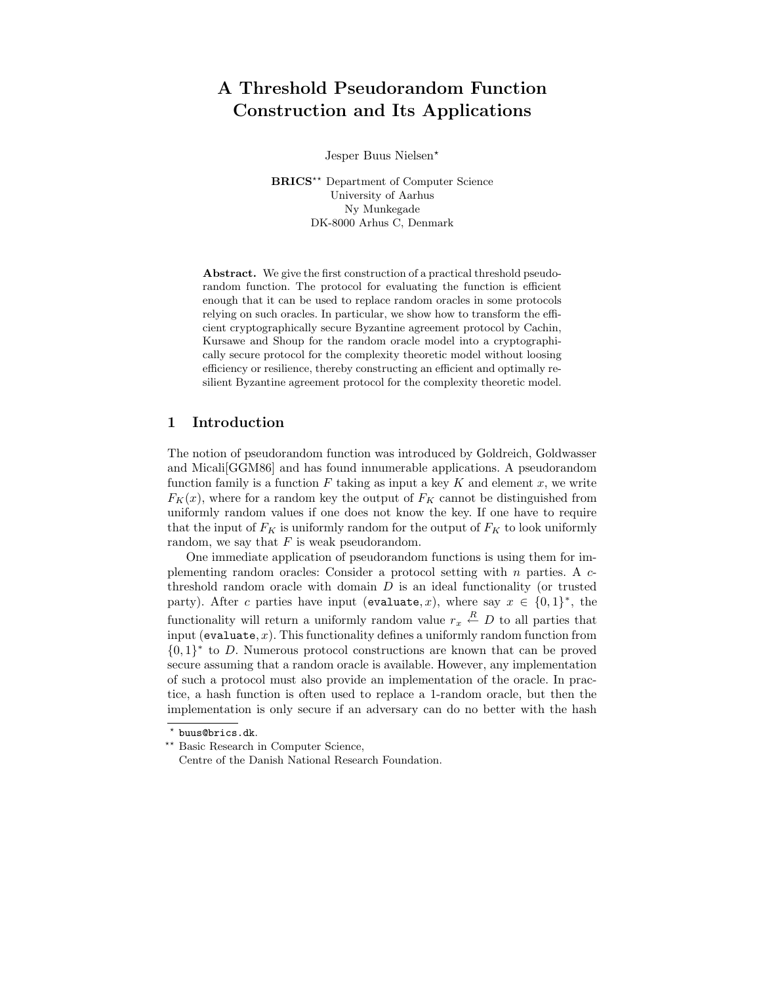# A Threshold Pseudorandom Function Construction and Its Applications

Jesper Buus Nielsen?

BRICS<sup>\*\*</sup> Department of Computer Science University of Aarhus Ny Munkegade DK-8000 Arhus C, Denmark

Abstract. We give the first construction of a practical threshold pseudorandom function. The protocol for evaluating the function is efficient enough that it can be used to replace random oracles in some protocols relying on such oracles. In particular, we show how to transform the efficient cryptographically secure Byzantine agreement protocol by Cachin, Kursawe and Shoup for the random oracle model into a cryptographically secure protocol for the complexity theoretic model without loosing efficiency or resilience, thereby constructing an efficient and optimally resilient Byzantine agreement protocol for the complexity theoretic model.

## 1 Introduction

The notion of pseudorandom function was introduced by Goldreich, Goldwasser and Micali[GGM86] and has found innumerable applications. A pseudorandom function family is a function  $F$  taking as input a key  $K$  and element  $x$ , we write  $F_K(x)$ , where for a random key the output of  $F_K$  cannot be distinguished from uniformly random values if one does not know the key. If one have to require that the input of  $F_K$  is uniformly random for the output of  $F_K$  to look uniformly random, we say that  $F$  is weak pseudorandom.

One immediate application of pseudorandom functions is using them for implementing random oracles: Consider a protocol setting with  $n$  parties. A  $c$ threshold random oracle with domain  $D$  is an ideal functionality (or trusted party). After c parties have input (evaluate, x), where say  $x \in \{0,1\}^*$ , the functionality will return a uniformly random value  $r_x \stackrel{R}{\leftarrow} D$  to all parties that input (evaluate,  $x$ ). This functionality defines a uniformly random function from  ${0,1}^*$  to D. Numerous protocol constructions are known that can be proved secure assuming that a random oracle is available. However, any implementation of such a protocol must also provide an implementation of the oracle. In practice, a hash function is often used to replace a 1-random oracle, but then the implementation is only secure if an adversary can do no better with the hash

<sup>?</sup> buus@brics.dk.

<sup>\*\*</sup> Basic Research in Computer Science,

Centre of the Danish National Research Foundation.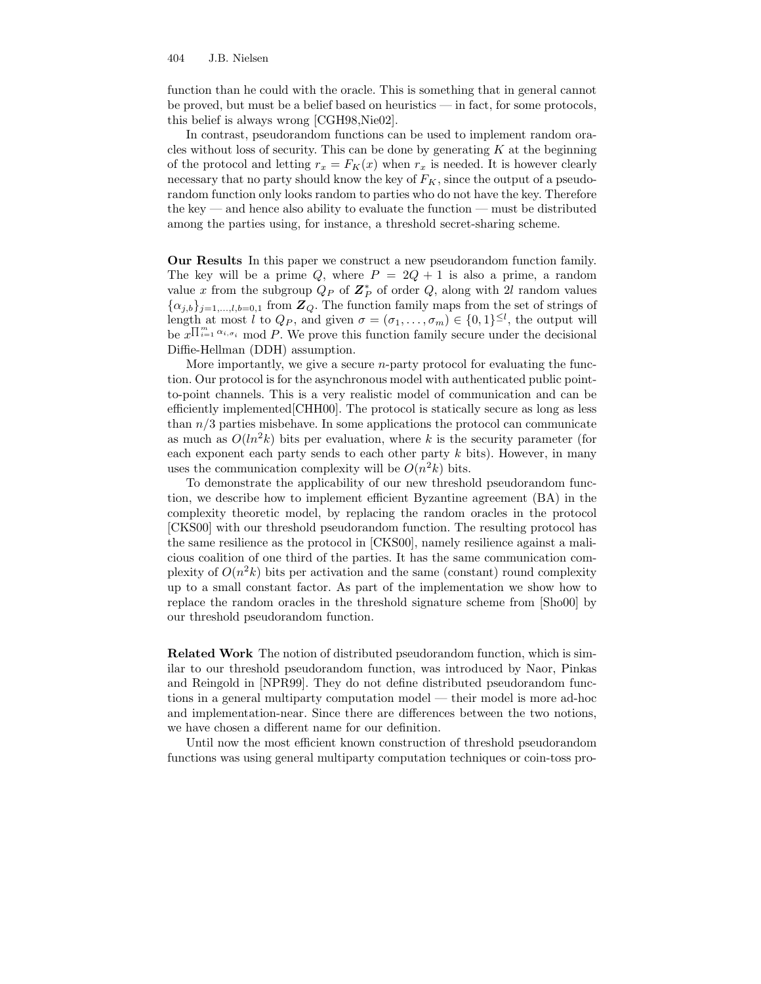function than he could with the oracle. This is something that in general cannot be proved, but must be a belief based on heuristics — in fact, for some protocols, this belief is always wrong [CGH98,Nie02].

In contrast, pseudorandom functions can be used to implement random oracles without loss of security. This can be done by generating  $K$  at the beginning of the protocol and letting  $r_x = F_K(x)$  when  $r_x$  is needed. It is however clearly necessary that no party should know the key of  $F_K$ , since the output of a pseudorandom function only looks random to parties who do not have the key. Therefore the key — and hence also ability to evaluate the function — must be distributed among the parties using, for instance, a threshold secret-sharing scheme.

Our Results In this paper we construct a new pseudorandom function family. The key will be a prime Q, where  $P = 2Q + 1$  is also a prime, a random value x from the subgroup  $Q_P$  of  $\mathbb{Z}_P^*$  of order  $Q$ , along with 2l random values  $\{\alpha_{j,b}\}_{j=1,\dots,l,b=0,1}$  from  $\mathbb{Z}_Q$ . The function family maps from the set of strings of length at most l to  $Q_P$ , and given  $\sigma = (\sigma_1, \ldots, \sigma_m) \in \{0,1\}^{\leq l}$ , the output will be  $x^{\prod_{i=1}^{m} \alpha_{i,\sigma_i}}$  mod P. We prove this function family secure under the decisional Diffie-Hellman (DDH) assumption.

More importantly, we give a secure n-party protocol for evaluating the function. Our protocol is for the asynchronous model with authenticated public pointto-point channels. This is a very realistic model of communication and can be efficiently implemented[CHH00]. The protocol is statically secure as long as less than  $n/3$  parties misbehave. In some applications the protocol can communicate as much as  $O(ln^2 k)$  bits per evaluation, where k is the security parameter (for each exponent each party sends to each other party  $k$  bits). However, in many uses the communication complexity will be  $O(n^2k)$  bits.

To demonstrate the applicability of our new threshold pseudorandom function, we describe how to implement efficient Byzantine agreement (BA) in the complexity theoretic model, by replacing the random oracles in the protocol [CKS00] with our threshold pseudorandom function. The resulting protocol has the same resilience as the protocol in [CKS00], namely resilience against a malicious coalition of one third of the parties. It has the same communication complexity of  $O(n^2k)$  bits per activation and the same (constant) round complexity up to a small constant factor. As part of the implementation we show how to replace the random oracles in the threshold signature scheme from [Sho00] by our threshold pseudorandom function.

Related Work The notion of distributed pseudorandom function, which is similar to our threshold pseudorandom function, was introduced by Naor, Pinkas and Reingold in [NPR99]. They do not define distributed pseudorandom functions in a general multiparty computation model — their model is more ad-hoc and implementation-near. Since there are differences between the two notions, we have chosen a different name for our definition.

Until now the most efficient known construction of threshold pseudorandom functions was using general multiparty computation techniques or coin-toss pro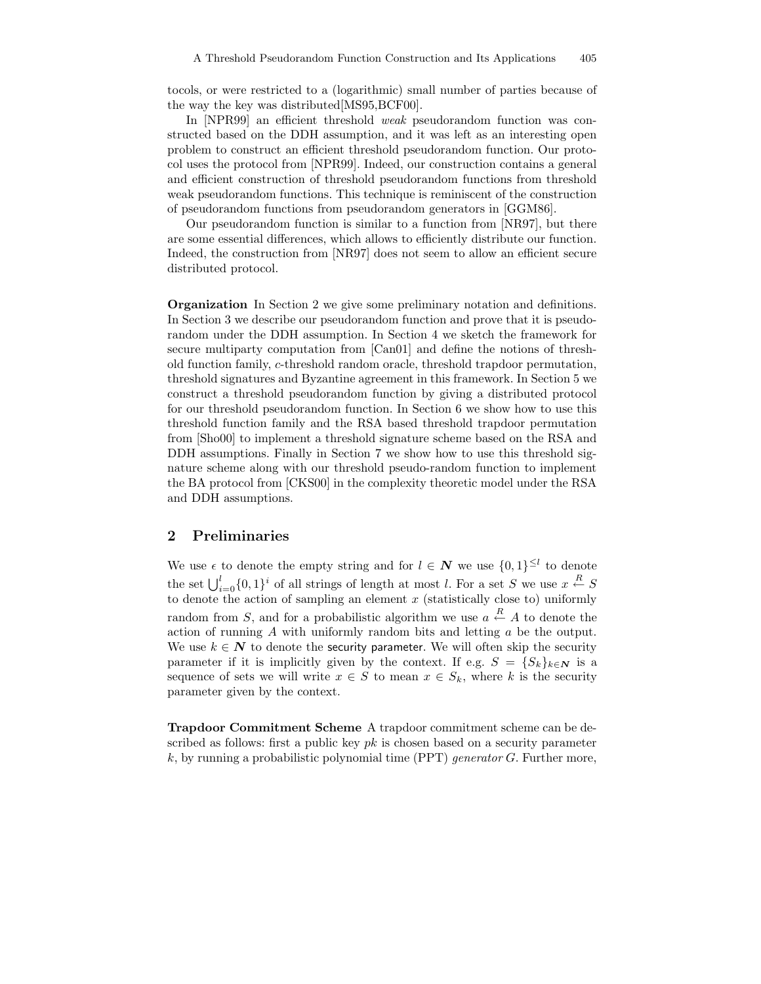tocols, or were restricted to a (logarithmic) small number of parties because of the way the key was distributed[MS95,BCF00].

In [NPR99] an efficient threshold weak pseudorandom function was constructed based on the DDH assumption, and it was left as an interesting open problem to construct an efficient threshold pseudorandom function. Our protocol uses the protocol from [NPR99]. Indeed, our construction contains a general and efficient construction of threshold pseudorandom functions from threshold weak pseudorandom functions. This technique is reminiscent of the construction of pseudorandom functions from pseudorandom generators in [GGM86].

Our pseudorandom function is similar to a function from [NR97], but there are some essential differences, which allows to efficiently distribute our function. Indeed, the construction from [NR97] does not seem to allow an efficient secure distributed protocol.

Organization In Section 2 we give some preliminary notation and definitions. In Section 3 we describe our pseudorandom function and prove that it is pseudorandom under the DDH assumption. In Section 4 we sketch the framework for secure multiparty computation from [Can01] and define the notions of threshold function family, c-threshold random oracle, threshold trapdoor permutation, threshold signatures and Byzantine agreement in this framework. In Section 5 we construct a threshold pseudorandom function by giving a distributed protocol for our threshold pseudorandom function. In Section 6 we show how to use this threshold function family and the RSA based threshold trapdoor permutation from [Sho00] to implement a threshold signature scheme based on the RSA and DDH assumptions. Finally in Section 7 we show how to use this threshold signature scheme along with our threshold pseudo-random function to implement the BA protocol from [CKS00] in the complexity theoretic model under the RSA and DDH assumptions.

### 2 Preliminaries

We use  $\epsilon$  to denote the empty string and for  $l \in \mathbb{N}$  we use  $\{0,1\}^{\leq l}$  to denote the set  $\bigcup_{i=0}^{l} \{0, 1\}^i$  of all strings of length at most l. For a set S we use  $x \stackrel{R}{\leftarrow} S$ to denote the action of sampling an element  $x$  (statistically close to) uniformly random from S, and for a probabilistic algorithm we use  $a \stackrel{R}{\leftarrow} A$  to denote the action of running A with uniformly random bits and letting a be the output. We use  $k \in \mathbb{N}$  to denote the security parameter. We will often skip the security parameter if it is implicitly given by the context. If e.g.  $S = \{S_k\}_{k \in \mathbb{N}}$  is a sequence of sets we will write  $x \in S$  to mean  $x \in S_k$ , where k is the security parameter given by the context.

Trapdoor Commitment Scheme A trapdoor commitment scheme can be described as follows: first a public key  $pk$  is chosen based on a security parameter k, by running a probabilistic polynomial time (PPT) generator G. Further more,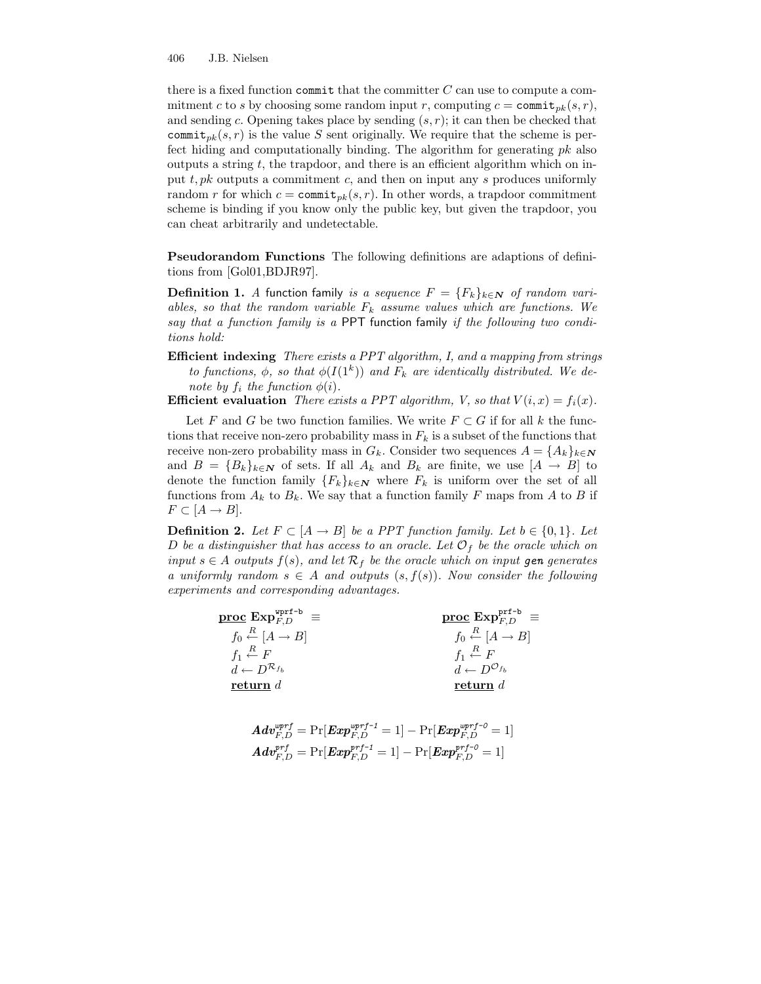there is a fixed function committen that the committer  $C$  can use to compute a commitment c to s by choosing some random input r, computing  $c = \text{commit}_{pk}(s, r)$ , and sending c. Opening takes place by sending  $(s, r)$ ; it can then be checked that commit<sub>pk</sub> $(s, r)$  is the value S sent originally. We require that the scheme is perfect hiding and computationally binding. The algorithm for generating  $pk$  also outputs a string  $t$ , the trapdoor, and there is an efficient algorithm which on input t, pk outputs a commitment c, and then on input any s produces uniformly random r for which  $c = \text{commit}_{pk}(s, r)$ . In other words, a trapdoor commitment scheme is binding if you know only the public key, but given the trapdoor, you can cheat arbitrarily and undetectable.

Pseudorandom Functions The following definitions are adaptions of definitions from [Gol01,BDJR97].

**Definition 1.** A function family is a sequence  $F = \{F_k\}_{k \in \mathbb{N}}$  of random variables, so that the random variable  $F_k$  assume values which are functions. We say that a function family is a PPT function family if the following two conditions hold:

Efficient indexing There exists a PPT algorithm, I, and a mapping from strings to functions,  $\phi$ , so that  $\phi(I(1^k))$  and  $F_k$  are identically distributed. We denote by  $f_i$  the function  $\phi(i)$ .

**Efficient evaluation** There exists a PPT algorithm, V, so that  $V(i, x) = f_i(x)$ .

Let F and G be two function families. We write  $F \subset G$  if for all k the functions that receive non-zero probability mass in  $F_k$  is a subset of the functions that receive non-zero probability mass in  $G_k$ . Consider two sequences  $A = \{A_k\}_{k \in \mathbb{N}}$ and  $B = {B_k}_{k \in \mathbb{N}}$  of sets. If all  $A_k$  and  $B_k$  are finite, we use  $[A \rightarrow B]$  to denote the function family  ${F_k}_{k\in\mathbb{N}}$  where  $F_k$  is uniform over the set of all functions from  $A_k$  to  $B_k$ . We say that a function family F maps from A to B if  $F \subset [A \rightarrow B].$ 

**Definition 2.** Let  $F \subset [A \rightarrow B]$  be a PPT function family. Let  $b \in \{0,1\}$ . Let D be a distinguisher that has access to an oracle. Let  $\mathcal{O}_f$  be the oracle which on input  $s \in A$  outputs  $f(s)$ , and let  $\mathcal{R}_f$  be the oracle which on input gen generates a uniformly random  $s \in A$  and outputs  $(s, f(s))$ . Now consider the following experiments and corresponding advantages.

|                                                  | $\overline{\text{proc}}$ $\text{Exp}_{F,D}^{\text{prf-b}}$ = |
|--------------------------------------------------|--------------------------------------------------------------|
| $f_0 \stackrel{R}{\leftarrow} [A \rightarrow B]$ | $f_0 \stackrel{R}{\leftarrow} [A \rightarrow B]$             |
| $f_1 \stackrel{R}{\leftarrow} F$                 | $f_1 \stackrel{R}{\leftarrow} F$                             |
| $d \leftarrow D^{\mathcal{R}_{f_b}}$             | $d \leftarrow D^{\mathcal{O}_{f_b}}$                         |
| return $d$                                       | return $d$                                                   |

$$
\begin{aligned} \boldsymbol{Adv}_{F,D}^{wprf} = \text{Pr}[\boldsymbol{Exp}_{F,D}^{wprf\text{-}1} = 1] - \text{Pr}[\boldsymbol{Exp}_{F,D}^{wprf\text{-}0} = 1] \\ \boldsymbol{Adv}_{F,D}^{prf} = \text{Pr}[\boldsymbol{Exp}_{F,D}^{prf\text{-}1} = 1] - \text{Pr}[\boldsymbol{Exp}_{F,D}^{prf\text{-}0} = 1] \end{aligned}
$$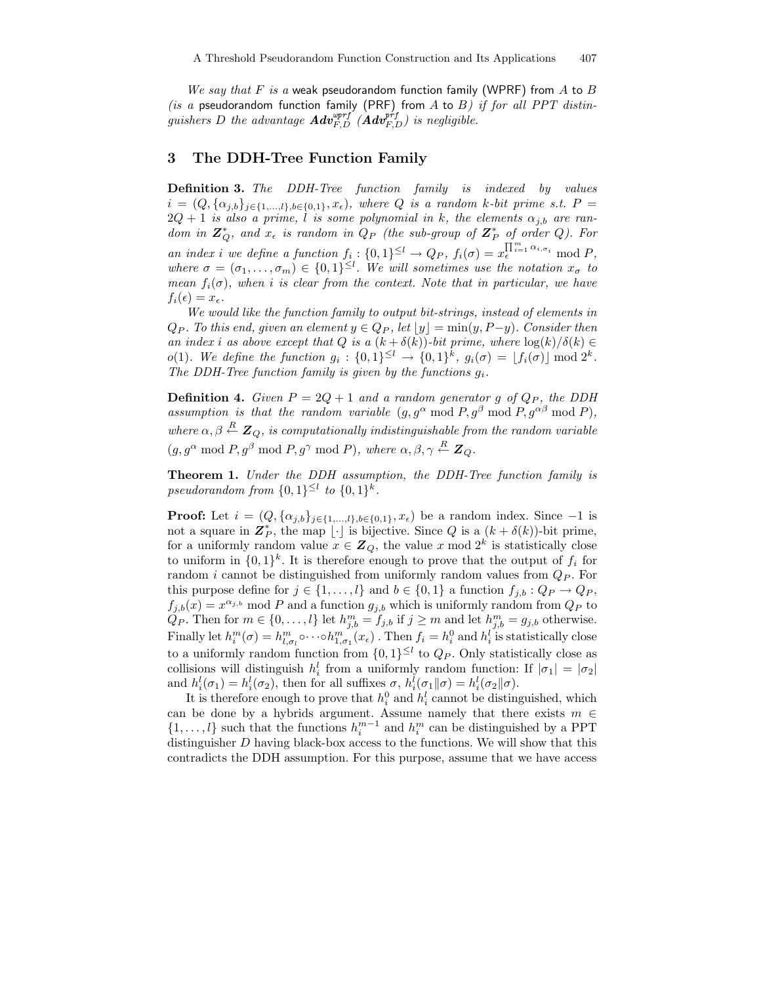We say that F is a weak pseudorandom function family (WPRF) from A to B (is a pseudorandom function family (PRF) from A to B) if for all PPT distinguishers D the advantage  $\pmb{Adv}_{F,D}^{wprf}(\hat{\pmb{A}}\pmb{dv}_{F,D}^{prf})$  is negligible.

# 3 The DDH-Tree Function Family

**Definition 3.** The DDH-Tree function family is indexed by values  $i = (Q, {\alpha_{j,b}}_{j \in \{1,...,l\},b \in \{0,1\}}, x_{\epsilon})$ , where Q is a random k-bit prime s.t.  $P =$  $2Q + 1$  is also a prime, l is some polynomial in k, the elements  $\alpha_{i,b}$  are random in  $\mathbb{Z}_Q^*$ , and  $x_{\epsilon}$  is random in  $Q_P$  (the sub-group of  $\mathbb{Z}_P^*$  of order Q). For an index i we define a function  $f_i: \{0,1\}^{\leq l} \to Q_P$ ,  $f_i(\sigma) = x^{\prod_{i=1}^m \alpha_{i,\sigma_i}}_{{\epsilon}} \mod P$ , where  $\sigma = (\sigma_1, \ldots, \sigma_m) \in \{0,1\}^{\leq l}$ . We will sometimes use the notation  $x_{\sigma}$  to mean  $f_i(\sigma)$ , when i is clear from the context. Note that in particular, we have  $f_i(\epsilon) = x_{\epsilon}.$ 

We would like the function family to output bit-strings, instead of elements in  $Q_P$ . To this end, given an element  $y \in Q_P$ , let  $|y| = \min(y, P-y)$ . Consider then an index i as above except that Q is a  $(k + \delta(k))$ -bit prime, where  $\log(k)/\delta(k) \in$ o(1). We define the function  $g_i: \{0,1\}^{\leq l} \to \{0,1\}^k$ ,  $g_i(\sigma) = \lfloor f_i(\sigma) \rfloor \bmod 2^k$ . The DDH-Tree function family is given by the functions  $q_i$ .

**Definition 4.** Given  $P = 2Q + 1$  and a random generator g of  $Q_P$ , the DDH assumption is that the random variable  $(g, g^{\alpha} \mod P, g^{\beta} \mod P, g^{\alpha\beta} \mod P)$ , where  $\alpha, \beta \stackrel{R}{\leftarrow} \mathbf{Z}_Q$ , is computationally indistinguishable from the random variable  $(g, g^{\alpha} \mod P, g^{\beta} \mod P, g^{\gamma} \mod P)$ , where  $\alpha, \beta, \gamma \stackrel{R}{\leftarrow} \mathbb{Z}_Q$ .

Theorem 1. Under the DDH assumption, the DDH-Tree function family is pseudorandom from  $\{0,1\}^{\leq l}$  to  $\{0,1\}^k$ .

**Proof:** Let  $i = (Q, {\alpha_{j,b}}_{j \in \{1,...,l\},b \in \{0,1\}}, x_{\epsilon})$  be a random index. Since -1 is not a square in  $\mathbf{Z}_P^*$ , the map  $\lfloor \cdot \rfloor$  is bijective. Since Q is a  $(k + \delta(k))$ -bit prime, for a uniformly random value  $x \in \mathbb{Z}_Q$ , the value x mod  $2^k$  is statistically close to uniform in  $\{0,1\}^k$ . It is therefore enough to prove that the output of  $f_i$  for random i cannot be distinguished from uniformly random values from  $Q_P$ . For this purpose define for  $j \in \{1, ..., l\}$  and  $b \in \{0, 1\}$  a function  $f_{j,b} : Q_P \to Q_P$ ,  $f_{j,b}(x) = x^{\alpha_{j,b}}$  mod P and a function  $g_{j,b}$  which is uniformly random from  $Q_P$  to  $\hat{Q}_P$ . Then for  $m \in \{0, \ldots, l\}$  let  $h^m_{j,b} = f_{j,b}$  if  $j \geq m$  and let  $h^m_{j,b} = g_{j,b}$  otherwise. Finally let  $h_i^m(\sigma) = h_{l,\sigma_l}^m \circ \cdots \circ h_{1,\sigma_1}^m(x_\epsilon)$ . Then  $f_i = h_i^0$  and  $h_i^l$  is statistically close to a uniformly random function from  $\{0,1\}^{\leq l}$  to  $Q_P$ . Only statistically close as collisions will distinguish  $h_i^l$  from a uniformly random function: If  $|\sigma_1| = |\sigma_2|$ and  $h_i^l(\sigma_1) = h_i^l(\sigma_2)$ , then for all suffixes  $\sigma$ ,  $h_i^l(\sigma_1 \| \sigma) = h_i^l(\sigma_2 \| \sigma)$ .

It is therefore enough to prove that  $h_i^0$  and  $h_i^l$  cannot be distinguished, which can be done by a hybrids argument. Assume namely that there exists  $m \in$  $\{1,\ldots,l\}$  such that the functions  $h_i^{m-1}$  and  $h_i^m$  can be distinguished by a PPT distinguisher  $D$  having black-box access to the functions. We will show that this contradicts the DDH assumption. For this purpose, assume that we have access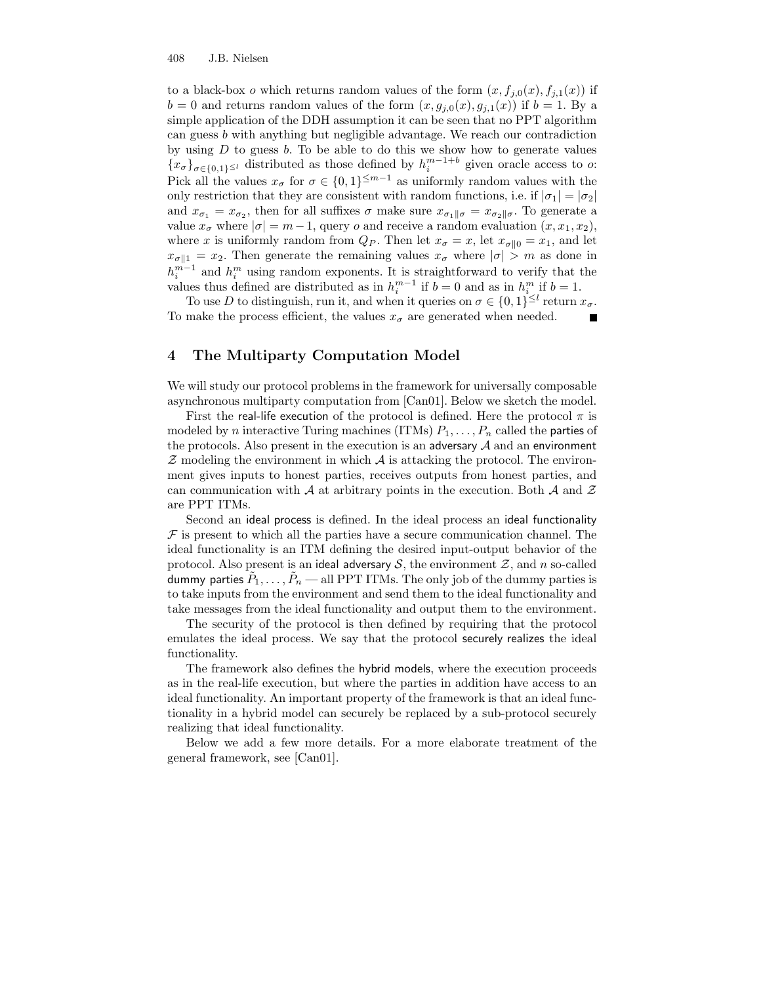to a black-box o which returns random values of the form  $(x, f_{i,0}(x), f_{i,1}(x))$  if  $b = 0$  and returns random values of the form  $(x, g_{i,0}(x), g_{i,1}(x))$  if  $b = 1$ . By a simple application of the DDH assumption it can be seen that no PPT algorithm can guess b with anything but negligible advantage. We reach our contradiction by using  $D$  to guess  $b$ . To be able to do this we show how to generate values  ${x_{\sigma}}_{\sigma \in \{0,1\}^{\leq l}}$  distributed as those defined by  $h_i^{m-1+b}$  given oracle access to o: Pick all the values  $x_{\sigma}$  for  $\sigma \in \{0,1\}^{\leq m-1}$  as uniformly random values with the only restriction that they are consistent with random functions, i.e. if  $|\sigma_1| = |\sigma_2|$ and  $x_{\sigma_1} = x_{\sigma_2}$ , then for all suffixes  $\sigma$  make sure  $x_{\sigma_1 \| \sigma} = x_{\sigma_2 \| \sigma}$ . To generate a value  $x_{\sigma}$  where  $|\sigma| = m-1$ , query o and receive a random evaluation  $(x, x_1, x_2)$ , where x is uniformly random from  $Q_P$ . Then let  $x_{\sigma} = x$ , let  $x_{\sigma \| 0} = x_1$ , and let  $x_{\sigma \| 1} = x_2$ . Then generate the remaining values  $x_{\sigma}$  where  $|\sigma| > m$  as done in  $h_i^{m-1}$  and  $h_i^m$  using random exponents. It is straightforward to verify that the values thus defined are distributed as in  $h_i^{m-1}$  if  $b = 0$  and as in  $h_i^m$  if  $b = 1$ .

To use D to distinguish, run it, and when it queries on  $\sigma \in \{0,1\}^{\leq l}$  return  $x_{\sigma}$ . To make the process efficient, the values  $x_{\sigma}$  are generated when needed.

# 4 The Multiparty Computation Model

We will study our protocol problems in the framework for universally composable asynchronous multiparty computation from [Can01]. Below we sketch the model.

First the real-life execution of the protocol is defined. Here the protocol  $\pi$  is modeled by *n* interactive Turing machines (ITMs)  $P_1, \ldots, P_n$  called the **parties** of the protocols. Also present in the execution is an adversary  $A$  and an environment  $Z$  modeling the environment in which  $A$  is attacking the protocol. The environment gives inputs to honest parties, receives outputs from honest parties, and can communication with  $A$  at arbitrary points in the execution. Both  $A$  and  $Z$ are PPT ITMs.

Second an ideal process is defined. In the ideal process an ideal functionality  $\mathcal F$  is present to which all the parties have a secure communication channel. The ideal functionality is an ITM defining the desired input-output behavior of the protocol. Also present is an ideal adversary S, the environment  $\mathcal{Z}$ , and n so-called dummy parties  $\tilde{P}_1,\ldots,\tilde{P}_n$  — all PPT ITMs. The only job of the dummy parties is to take inputs from the environment and send them to the ideal functionality and take messages from the ideal functionality and output them to the environment.

The security of the protocol is then defined by requiring that the protocol emulates the ideal process. We say that the protocol securely realizes the ideal functionality.

The framework also defines the hybrid models, where the execution proceeds as in the real-life execution, but where the parties in addition have access to an ideal functionality. An important property of the framework is that an ideal functionality in a hybrid model can securely be replaced by a sub-protocol securely realizing that ideal functionality.

Below we add a few more details. For a more elaborate treatment of the general framework, see [Can01].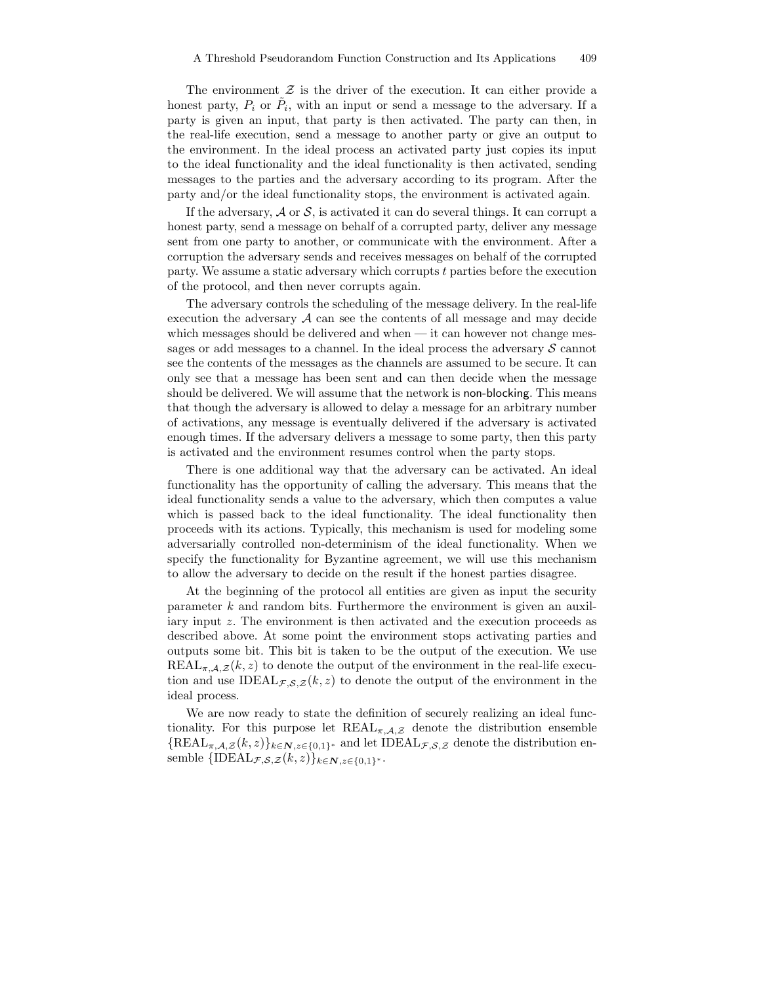The environment  $\mathcal Z$  is the driver of the execution. It can either provide a honest party,  $P_i$  or  $\tilde{P}_i$ , with an input or send a message to the adversary. If a party is given an input, that party is then activated. The party can then, in the real-life execution, send a message to another party or give an output to the environment. In the ideal process an activated party just copies its input to the ideal functionality and the ideal functionality is then activated, sending messages to the parties and the adversary according to its program. After the party and/or the ideal functionality stops, the environment is activated again.

If the adversary,  $A$  or  $S$ , is activated it can do several things. It can corrupt a honest party, send a message on behalf of a corrupted party, deliver any message sent from one party to another, or communicate with the environment. After a corruption the adversary sends and receives messages on behalf of the corrupted party. We assume a static adversary which corrupts t parties before the execution of the protocol, and then never corrupts again.

The adversary controls the scheduling of the message delivery. In the real-life execution the adversary  $\mathcal A$  can see the contents of all message and may decide which messages should be delivered and when  $-$  it can however not change messages or add messages to a channel. In the ideal process the adversary  $S$  cannot see the contents of the messages as the channels are assumed to be secure. It can only see that a message has been sent and can then decide when the message should be delivered. We will assume that the network is non-blocking. This means that though the adversary is allowed to delay a message for an arbitrary number of activations, any message is eventually delivered if the adversary is activated enough times. If the adversary delivers a message to some party, then this party is activated and the environment resumes control when the party stops.

There is one additional way that the adversary can be activated. An ideal functionality has the opportunity of calling the adversary. This means that the ideal functionality sends a value to the adversary, which then computes a value which is passed back to the ideal functionality. The ideal functionality then proceeds with its actions. Typically, this mechanism is used for modeling some adversarially controlled non-determinism of the ideal functionality. When we specify the functionality for Byzantine agreement, we will use this mechanism to allow the adversary to decide on the result if the honest parties disagree.

At the beginning of the protocol all entities are given as input the security parameter k and random bits. Furthermore the environment is given an auxiliary input z. The environment is then activated and the execution proceeds as described above. At some point the environment stops activating parties and outputs some bit. This bit is taken to be the output of the execution. We use  $REAL_{\pi,A,Z}(k,z)$  to denote the output of the environment in the real-life execution and use IDEAL $_{\mathcal{F},\mathcal{S},\mathcal{Z}}(k,z)$  to denote the output of the environment in the ideal process.

We are now ready to state the definition of securely realizing an ideal functionality. For this purpose let  $REAL_{\pi,A,\mathcal{Z}}$  denote the distribution ensemble  $\{{\rm REAL}_{\pi,\mathcal{A},Z}(k,z)\}_{k\in\mathbf{N},z\in\{0,1\}^*}$  and let  ${\rm IDEAL}_{\mathcal{F},\mathcal{S},Z}$  denote the distribution ensemble  $\{\text{IDEAL}_{\mathcal{F},\mathcal{S},\mathcal{Z}}(k,z)\}_{k\in\mathbf{N},z\in\{0,1\}^*}$ .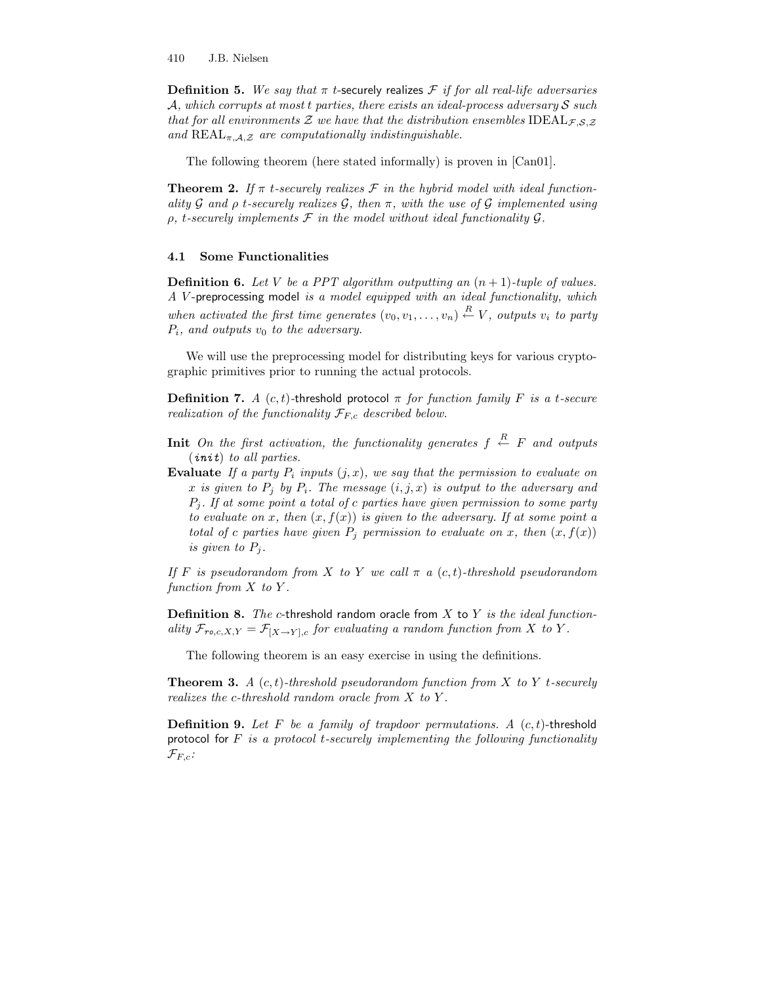**Definition 5.** We say that  $\pi$  t-securely realizes  $\mathcal F$  if for all real-life adversaries A, which corrupts at most t parties, there exists an ideal-process adversary  $\mathcal S$  such that for all environments Z we have that the distribution ensembles  $\text{IDEAL}_{\mathcal{F},\mathcal{S},\mathcal{Z}}$ and  $REAL_{\pi,\mathcal{A},\mathcal{Z}}$  are computationally indistinguishable.

The following theorem (here stated informally) is proven in [Can01].

**Theorem 2.** If  $\pi$  t-securely realizes  $\mathcal F$  in the hybrid model with ideal functionality G and  $\rho$  t-securely realizes G, then  $\pi$ , with the use of G implemented using  $\rho$ , t-securely implements  $\mathcal F$  in the model without ideal functionality  $\mathcal G$ .

#### 4.1 Some Functionalities

**Definition 6.** Let V be a PPT algorithm outputting an  $(n + 1)$ -tuple of values. A V -preprocessing model is a model equipped with an ideal functionality, which when activated the first time generates  $(v_0, v_1, \ldots, v_n) \stackrel{R}{\leftarrow} V$ , outputs  $v_i$  to party  $P_i$ , and outputs  $v_0$  to the adversary.

We will use the preprocessing model for distributing keys for various cryptographic primitives prior to running the actual protocols.

**Definition 7.** A  $(c, t)$ -threshold protocol  $\pi$  for function family F is a t-secure realization of the functionality  $\mathcal{F}_{F,c}$  described below.

- **Init** On the first activation, the functionality generates  $f \stackrel{R}{\leftarrow} F$  and outputs (init) to all parties.
- Evaluate If a party  $P_i$  inputs  $(j, x)$ , we say that the permission to evaluate on x is given to  $P_i$  by  $P_i$ . The message  $(i, j, x)$  is output to the adversary and  $P_i$ . If at some point a total of c parties have given permission to some party to evaluate on x, then  $(x, f(x))$  is given to the adversary. If at some point a total of c parties have given  $P_i$  permission to evaluate on x, then  $(x, f(x))$ is given to  $P_i$ .

If F is pseudorandom from X to Y we call  $\pi$  a  $(c, t)$ -threshold pseudorandom function from  $X$  to  $Y$ .

**Definition 8.** The c-threshold random oracle from  $X$  to  $Y$  is the ideal functionality  $\mathcal{F}_{ro,c,X,Y} = \mathcal{F}_{[X\to Y],c}$  for evaluating a random function from X to Y.

The following theorem is an easy exercise in using the definitions.

**Theorem 3.** A  $(c, t)$ -threshold pseudorandom function from X to Y t-securely realizes the c-threshold random oracle from  $X$  to  $Y$ .

**Definition 9.** Let F be a family of trapdoor permutations. A  $(c, t)$ -threshold protocol for  $F$  is a protocol t-securely implementing the following functionality  $\mathcal{F}_{F,c}$ :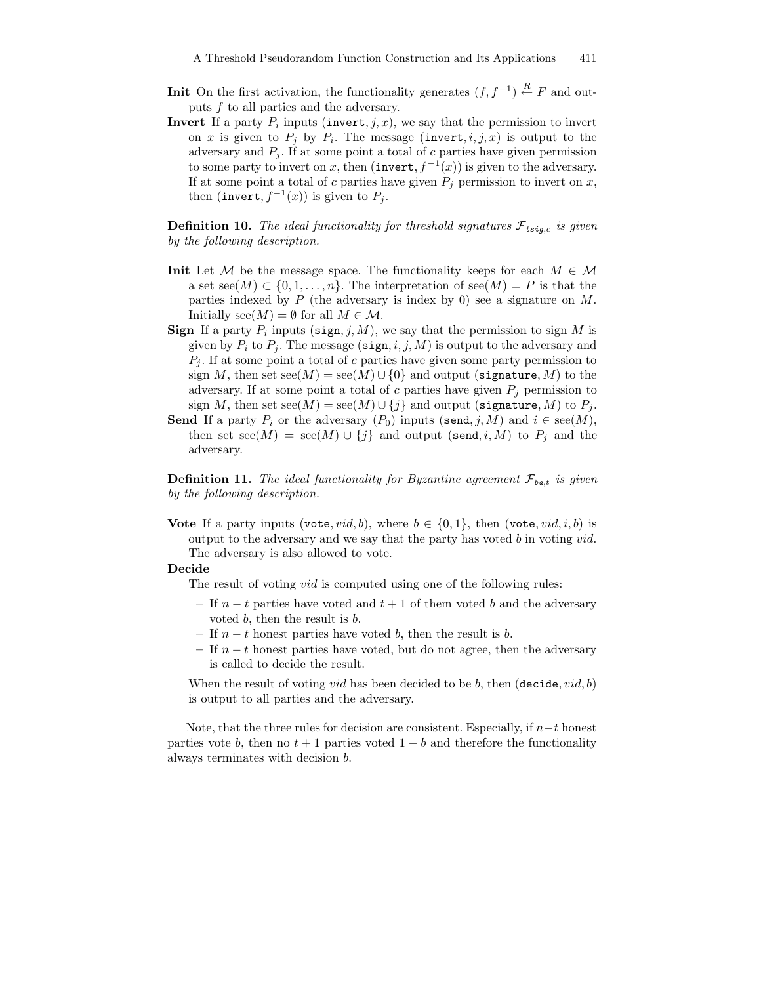- **Init** On the first activation, the functionality generates  $(f, f^{-1}) \stackrel{R}{\leftarrow} F$  and outputs f to all parties and the adversary.
- **Invert** If a party  $P_i$  inputs (invert,  $j, x$ ), we say that the permission to invert on x is given to  $P_j$  by  $P_i$ . The message (invert,  $i, j, x$ ) is output to the adversary and  $P_i$ . If at some point a total of c parties have given permission to some party to invert on x, then  $(\text{invert}, f^{-1}(x))$  is given to the adversary. If at some point a total of c parties have given  $P_i$  permission to invert on x, then (invert,  $f^{-1}(x)$ ) is given to  $P_j$ .

**Definition 10.** The ideal functionality for threshold signatures  $\mathcal{F}_{t \text{sq},c}$  is given by the following description.

- **Init** Let M be the message space. The functionality keeps for each  $M \in \mathcal{M}$ a set  $\operatorname{see}(M) \subset \{0,1,\ldots,n\}$ . The interpretation of  $\operatorname{see}(M) = P$  is that the parties indexed by  $P$  (the adversary is index by 0) see a signature on  $M$ . Initially  $\text{see}(M) = \emptyset$  for all  $M \in \mathcal{M}$ .
- **Sign** If a party  $P_i$  inputs ( $\text{sign}, j, M$ ), we say that the permission to sign M is given by  $P_i$  to  $P_j$ . The message (sign, i, j, M) is output to the adversary and  $P_j$ . If at some point a total of c parties have given some party permission to sign M, then set  $\sec(M) = \sec(M) \cup \{0\}$  and output (signature, M) to the adversary. If at some point a total of c parties have given  $P_j$  permission to sign M, then set  $\mathrm{see}(M) = \mathrm{see}(M) \cup \{j\}$  and output (signature, M) to  $P_j$ .
- Send If a party  $P_i$  or the adversary  $(P_0)$  inputs (send, j, M) and  $i \in \text{see}(M)$ , then set  $\mathrm{see}(M) = \mathrm{see}(M) \cup \{j\}$  and output (send, i, M) to  $P_j$  and the adversary.

**Definition 11.** The ideal functionality for Byzantine agreement  $\mathcal{F}_{\text{bat}}$  is given by the following description.

Vote If a party inputs (vote, vid, b), where  $b \in \{0, 1\}$ , then (vote, vid, i, b) is output to the adversary and we say that the party has voted  $b$  in voting  $vid$ . The adversary is also allowed to vote.

#### Decide

The result of voting *vid* is computed using one of the following rules:

- If  $n t$  parties have voted and  $t + 1$  of them voted b and the adversary voted b, then the result is b.
- If  $n t$  honest parties have voted b, then the result is b.
- If  $n t$  honest parties have voted, but do not agree, then the adversary is called to decide the result.

When the result of voting *vid* has been decided to be b, then (decide, *vid*, b) is output to all parties and the adversary.

Note, that the three rules for decision are consistent. Especially, if  $n-t$  honest parties vote b, then no  $t + 1$  parties voted  $1 - b$  and therefore the functionality always terminates with decision b.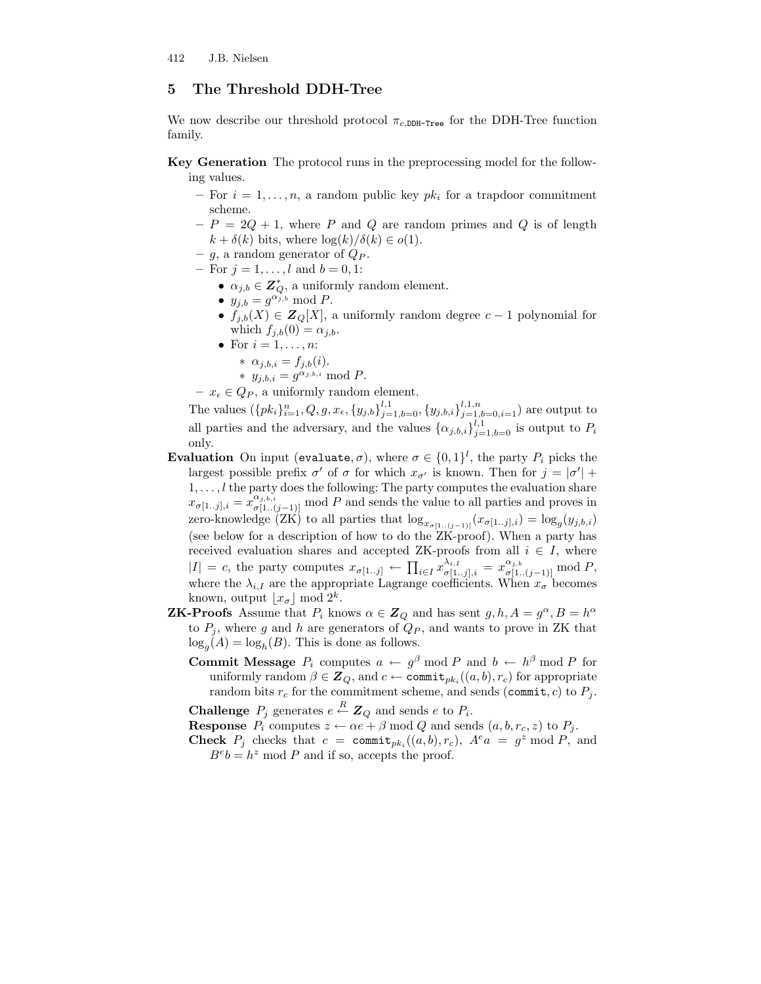# 5 The Threshold DDH-Tree

We now describe our threshold protocol  $\pi_{c,\text{DDH-Tree}}$  for the DDH-Tree function family.

- Key Generation The protocol runs in the preprocessing model for the following values.
	- For  $i = 1, \ldots, n$ , a random public key  $pk_i$  for a trapdoor commitment scheme.
	- $-P = 2Q + 1$ , where P and Q are random primes and Q is of length  $k + \delta(k)$  bits, where  $\log(k)/\delta(k) \in o(1)$ .
	- g, a random generator of  $Q_P$ .
	- For  $j = 1, ..., l$  and  $b = 0, 1$ :
		- $\alpha_{j,b} \in \mathbb{Z}_Q^*$ , a uniformly random element.
		- $y_{j,b} = g^{\alpha_{j,b}} \mod P$ .
		- $f_{i,b}(X) \in \mathbb{Z}_{\mathbb{Q}}[X]$ , a uniformly random degree  $c-1$  polynomial for which  $f_{i,b}(0) = \alpha_{i,b}$ .
		- For  $i = 1, \ldots, n$ :
			- \*  $\alpha_{j,b,i} = f_{j,b}(i)$ .
			- \*  $y_{j,b,i} = g^{\alpha_{j,b,i}} \mod P$ .
	- $x_{\epsilon} \in Q_P$ , a uniformly random element.

The values  $(\{pk_i\}_{i=1}^n, Q, g, x_{\epsilon}, \{y_{j,b}\}_{j=1,b=0}^{l,1}, \{y_{j,b,i}\}_{j=1,b=0,i=1}^{l,1,n})$  are output to all parties and the adversary, and the values  $\{\alpha_{j,b,i}\}_{j=1,b=0}^{l,1}$  is output to  $P_i$ only.

- **Evaluation** On input (evaluate,  $\sigma$ ), where  $\sigma \in \{0,1\}^l$ , the party  $P_i$  picks the largest possible prefix  $\sigma'$  of  $\sigma$  for which  $x_{\sigma'}$  is known. Then for  $j = |\sigma'| +$  $1, \ldots, l$  the party does the following: The party computes the evaluation share  $x_{\sigma[1..j],i} = x_{\sigma[1..(j-1)]}^{\alpha_{j,b,i}}$  mod P and sends the value to all parties and proves in zero-knowledge (ZK) to all parties that  $\log_{x_{\sigma[1..(j-1)]}}(x_{\sigma[1..j],i}) = \log_g(y_{j,b,i})$ (see below for a description of how to do the ZK-proof). When a party has received evaluation shares and accepted ZK-proofs from all  $i \in I$ , where  $|I| = c$ , the party computes  $x_{\sigma[1..j]} \leftarrow \prod_{i \in I} x_{\sigma[1..j],i}^{\lambda_{i,I}} = x_{\sigma[1..(j-1)]}^{\alpha_{j,b}} \mod P$ , where the  $\lambda_{i,I}$  are the appropriate Lagrange coefficients. When  $x_{\sigma}$  becomes known, output  $\lfloor x_{\sigma} \rfloor$  mod  $2^k$ .
- **ZK-Proofs** Assume that  $P_i$  knows  $\alpha \in \mathbb{Z}_Q$  and has sent  $g, h, A = g^{\alpha}, B = h^{\alpha}$ to  $P_j$ , where g and h are generators of  $Q_P$ , and wants to prove in ZK that  $\log_g(A) = \log_h(B)$ . This is done as follows.
	- **Commit Message**  $P_i$  computes  $a \leftarrow g^{\beta} \mod P$  and  $b \leftarrow h^{\beta} \mod P$  for uniformly random  $\beta \in \mathbf{Z}_Q$ , and  $c \leftarrow \texttt{commit}_{pk_i}((a, b), r_c)$  for appropriate random bits  $r_c$  for the commitment scheme, and sends (commit, c) to  $P_i$ .

**Challenge**  $P_j$  generates  $e \stackrel{R}{\leftarrow} \mathbf{Z}_Q$  and sends  $e$  to  $P_i$ .

**Response**  $P_i$  computes  $z \leftarrow \alpha e + \beta \mod Q$  and sends  $(a, b, r_c, z)$  to  $P_i$ .

**Check**  $P_j$  checks that  $c = \text{commit}_{pk_i}((a, b), r_c)$ ,  $A^e a = g^z \mod P$ , and  $B^e b = h^z \mod P$  and if so, accepts the proof.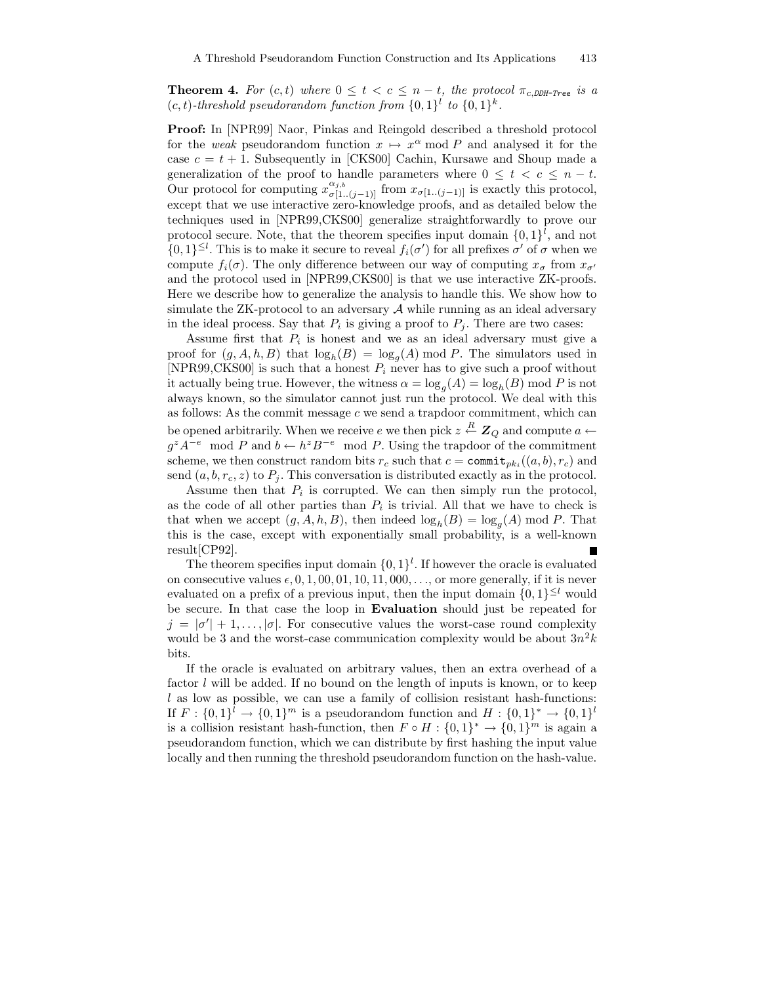**Theorem 4.** For  $(c, t)$  where  $0 \le t < c \le n-t$ , the protocol  $\pi_{c,DDH-Tree}$  is a  $(c, t)$ -threshold pseudorandom function from  $\{0, 1\}^l$  to  $\{0, 1\}^k$ .

Proof: In [NPR99] Naor, Pinkas and Reingold described a threshold protocol for the weak pseudorandom function  $x \mapsto x^{\alpha}$  mod P and analysed it for the case  $c = t + 1$ . Subsequently in [CKS00] Cachin, Kursawe and Shoup made a generalization of the proof to handle parameters where  $0 \leq t \leq c \leq n-t$ . Our protocol for computing  $x_{\sigma[1..(j-1)]}^{\alpha_{j,b}}$  from  $x_{\sigma[1..(j-1)]}$  is exactly this protocol, except that we use interactive zero-knowledge proofs, and as detailed below the techniques used in [NPR99,CKS00] generalize straightforwardly to prove our protocol secure. Note, that the theorem specifies input domain  $\{0,1\}^l$ , and not  $\{0,1\}^{\leq l}$ . This is to make it secure to reveal  $f_i(\sigma')$  for all prefixes  $\sigma'$  of  $\sigma$  when we compute  $f_i(\sigma)$ . The only difference between our way of computing  $x_{\sigma}$  from  $x_{\sigma}$ and the protocol used in [NPR99,CKS00] is that we use interactive ZK-proofs. Here we describe how to generalize the analysis to handle this. We show how to simulate the ZK-protocol to an adversary  $A$  while running as an ideal adversary in the ideal process. Say that  $P_i$  is giving a proof to  $P_j$ . There are two cases:

Assume first that  $P_i$  is honest and we as an ideal adversary must give a proof for  $(g, A, h, B)$  that  $\log_h(B) = \log_g(A) \mod P$ . The simulators used in [NPR99,CKS00] is such that a honest  $P_i$  never has to give such a proof without it actually being true. However, the witness  $\alpha = \log_g(A) = \log_h(B) \text{ mod } P$  is not always known, so the simulator cannot just run the protocol. We deal with this as follows: As the commit message  $c$  we send a trapdoor commitment, which can be opened arbitrarily. When we receive  $e$  we then pick  $z\stackrel{R}{\leftarrow}\mathbf{Z}_Q$  and compute  $a\leftarrow$  $g^z A^{-e} \mod P$  and  $b \leftarrow h^z B^{-e} \mod P$ . Using the trapdoor of the commitment scheme, we then construct random bits  $r_c$  such that  $c = \text{commit}_{pk_i}((a, b), r_c)$  and send  $(a, b, r_c, z)$  to  $P_j$ . This conversation is distributed exactly as in the protocol.

Assume then that  $P_i$  is corrupted. We can then simply run the protocol, as the code of all other parties than  $P_i$  is trivial. All that we have to check is that when we accept  $(g, A, h, B)$ , then indeed  $\log_h(B) = \log_g(A) \mod P$ . That this is the case, except with exponentially small probability, is a well-known result[CP92].

The theorem specifies input domain  $\{0,1\}^l$ . If however the oracle is evaluated on consecutive values  $\epsilon$ , 0, 1, 00, 01, 10, 11, 000, ..., or more generally, if it is never evaluated on a prefix of a previous input, then the input domain  $\{0,1\}^{\leq l}$  would be secure. In that case the loop in Evaluation should just be repeated for  $j = |\sigma'| + 1, \ldots, |\sigma|$ . For consecutive values the worst-case round complexity would be 3 and the worst-case communication complexity would be about  $3n^2k$ bits.

If the oracle is evaluated on arbitrary values, then an extra overhead of a factor  $l$  will be added. If no bound on the length of inputs is known, or to keep  $l$  as low as possible, we can use a family of collision resistant hash-functions: If  $F: \{0,1\}^l \to \{0,1\}^m$  is a pseudorandom function and  $H: \{0,1\}^* \to \{0,1\}^l$ is a collision resistant hash-function, then  $F \circ H : \{0,1\}^* \to \{0,1\}^m$  is again a pseudorandom function, which we can distribute by first hashing the input value locally and then running the threshold pseudorandom function on the hash-value.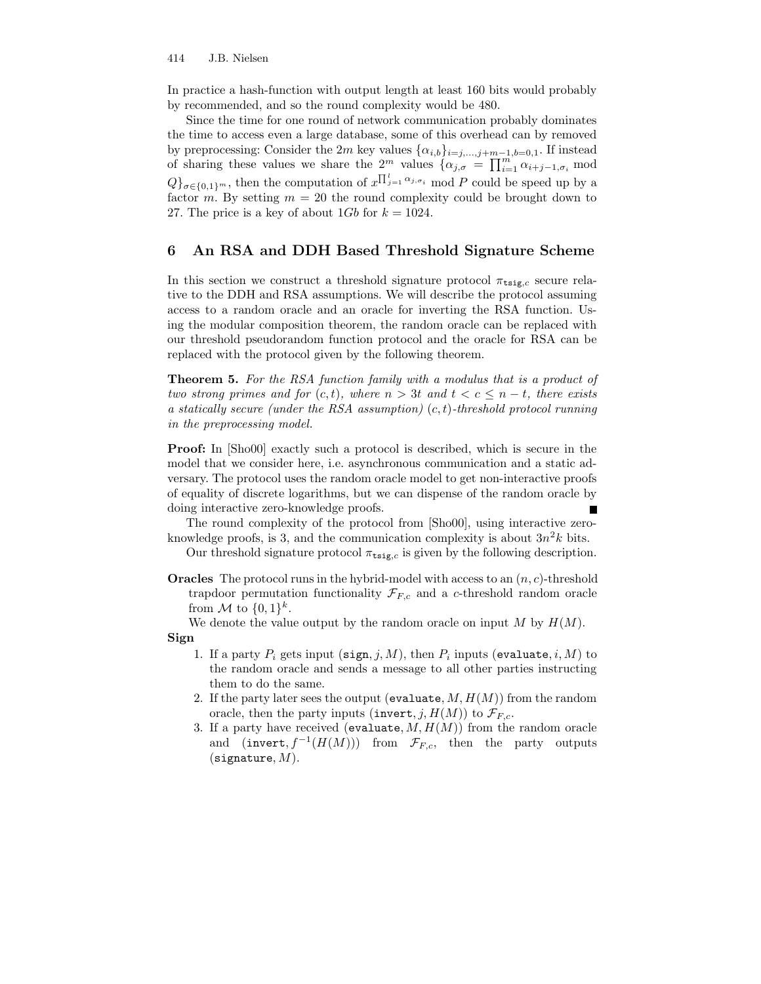In practice a hash-function with output length at least 160 bits would probably by recommended, and so the round complexity would be 480.

Since the time for one round of network communication probably dominates the time to access even a large database, some of this overhead can by removed by preprocessing: Consider the 2m key values  $\{\alpha_{i,b}\}_{i=j,\dots,j+m-1,b=0,1}$ . If instead of sharing these values we share the 2<sup>m</sup> values  $\{\alpha_{j,\sigma} = \prod_{i=1}^{m} \alpha_{i+j-1,\sigma_i} \mod$  $Q\}_{\sigma \in \{0,1\}^m}$ , then the computation of  $x^{\prod_{j=1}^l \alpha_{j,\sigma_i}}$  mod P could be speed up by a factor m. By setting  $m = 20$  the round complexity could be brought down to 27. The price is a key of about  $1Gb$  for  $k = 1024$ .

# 6 An RSA and DDH Based Threshold Signature Scheme

In this section we construct a threshold signature protocol  $\pi_{\text{tsig},c}$  secure relative to the DDH and RSA assumptions. We will describe the protocol assuming access to a random oracle and an oracle for inverting the RSA function. Using the modular composition theorem, the random oracle can be replaced with our threshold pseudorandom function protocol and the oracle for RSA can be replaced with the protocol given by the following theorem.

Theorem 5. For the RSA function family with a modulus that is a product of two strong primes and for  $(c, t)$ , where  $n > 3t$  and  $t < c \leq n-t$ , there exists a statically secure (under the RSA assumption)  $(c, t)$ -threshold protocol running in the preprocessing model.

Proof: In [Sho00] exactly such a protocol is described, which is secure in the model that we consider here, i.e. asynchronous communication and a static adversary. The protocol uses the random oracle model to get non-interactive proofs of equality of discrete logarithms, but we can dispense of the random oracle by doing interactive zero-knowledge proofs.

The round complexity of the protocol from [Sho00], using interactive zeroknowledge proofs, is 3, and the communication complexity is about  $3n^2k$  bits.

Our threshold signature protocol  $\pi_{\text{tsig},c}$  is given by the following description.

**Oracles** The protocol runs in the hybrid-model with access to an  $(n, c)$ -threshold trapdoor permutation functionality  $\mathcal{F}_{F,c}$  and a c-threshold random oracle from M to  $\{0,1\}^k$ .

We denote the value output by the random oracle on input M by  $H(M)$ . Sign

- 1. If a party  $P_i$  gets input (sign, j, M), then  $P_i$  inputs (evaluate, i, M) to the random oracle and sends a message to all other parties instructing them to do the same.
- 2. If the party later sees the output (evaluate,  $M, H(M)$ ) from the random oracle, then the party inputs (invert, j,  $H(M)$ ) to  $\mathcal{F}_{F,c}$ .
- 3. If a party have received (evaluate,  $M, H(M)$ ) from the random oracle and  $(\text{invert}, f^{-1}(H(M)))$  from  $\mathcal{F}_{F,c}$ , then the party outputs  $(s$ ignature,  $M$ ).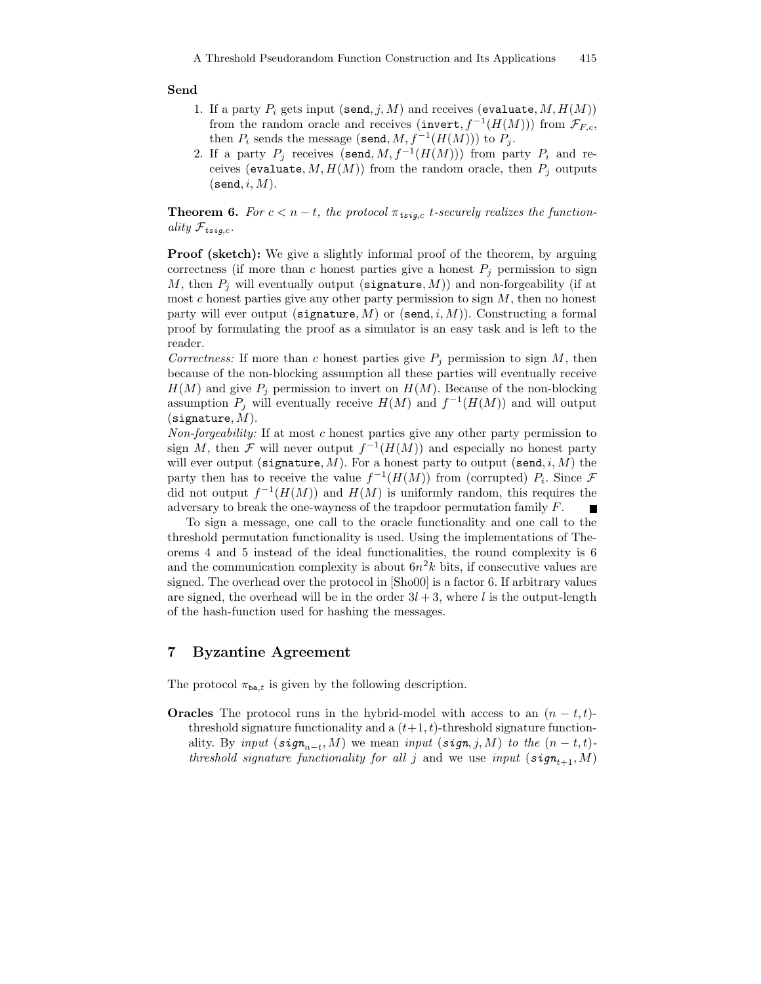#### Send

- 1. If a party  $P_i$  gets input (send, j, M) and receives (evaluate,  $M, H(M)$ ) from the random oracle and receives (invert,  $f^{-1}(H(M))$ ) from  $\mathcal{F}_{F,c}$ , then  $P_i$  sends the message (send,  $M, f^{-1}(H(M)))$  to  $P_j$ .
- 2. If a party  $P_j$  receives (send,  $M, f^{-1}(H(M)))$  from party  $P_i$  and receives (evaluate,  $M, H(M)$ ) from the random oracle, then  $P_j$  outputs  $(\texttt{send}, i, M)$ .

**Theorem 6.** For  $c < n-t$ , the protocol  $\pi_{tsi}$  t-securely realizes the functionality  $\mathcal{F}_{t \text{sig},c}$ .

Proof (sketch): We give a slightly informal proof of the theorem, by arguing correctness (if more than c honest parties give a honest  $P_j$  permission to sign M, then  $P_j$  will eventually output (signature, M)) and non-forgeability (if at most  $c$  honest parties give any other party permission to sign  $M$ , then no honest party will ever output (signature, M) or (send, i, M)). Constructing a formal proof by formulating the proof as a simulator is an easy task and is left to the reader.

Correctness: If more than c honest parties give  $P_j$  permission to sign M, then because of the non-blocking assumption all these parties will eventually receive  $H(M)$  and give  $P_j$  permission to invert on  $H(M)$ . Because of the non-blocking assumption  $P_j$  will eventually receive  $H(M)$  and  $f^{-1}(H(M))$  and will output  $(s$ ignature,  $M$ ).

Non-forgeability: If at most c honest parties give any other party permission to sign M, then F will never output  $f^{-1}(H(M))$  and especially no honest party will ever output (signature,  $M$ ). For a honest party to output (send, i,  $M$ ) the party then has to receive the value  $f^{-1}(H(M))$  from (corrupted)  $P_i$ . Since  $\mathcal F$ did not output  $f^{-1}(H(M))$  and  $H(M)$  is uniformly random, this requires the adversary to break the one-wayness of the trapdoor permutation family F.  $\blacksquare$ 

To sign a message, one call to the oracle functionality and one call to the threshold permutation functionality is used. Using the implementations of Theorems 4 and 5 instead of the ideal functionalities, the round complexity is 6 and the communication complexity is about  $6n^2k$  bits, if consecutive values are signed. The overhead over the protocol in [Sho00] is a factor 6. If arbitrary values are signed, the overhead will be in the order  $3l + 3$ , where l is the output-length of the hash-function used for hashing the messages.

#### 7 Byzantine Agreement

The protocol  $\pi_{\text{ba},t}$  is given by the following description.

**Oracles** The protocol runs in the hybrid-model with access to an  $(n - t, t)$ threshold signature functionality and a  $(t+1, t)$ -threshold signature functionality. By input  $(\textit{sign}_{n-t}, M)$  we mean input  $(\textit{sign}, j, M)$  to the  $(n-t, t)$ threshold signature functionality for all j and we use input  $(\mathfrak{sign}_{t+1}, M)$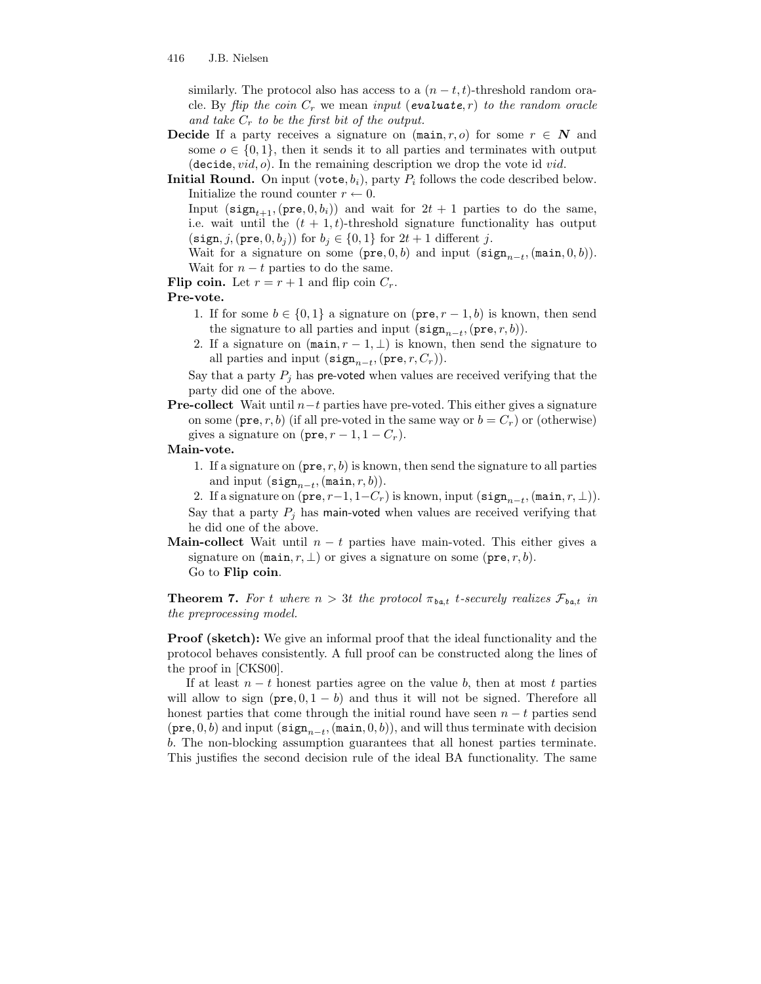similarly. The protocol also has access to a  $(n - t, t)$ -threshold random oracle. By flip the coin  $C_r$  we mean input (evaluate, r) to the random oracle and take  $C_r$  to be the first bit of the output.

- **Decide** If a party receives a signature on  $(\text{main}, r, o)$  for some  $r \in \mathbb{N}$  and some  $o \in \{0,1\}$ , then it sends it to all parties and terminates with output (decide,  $vid$ ,  $o$ ). In the remaining description we drop the vote id *vid*.
- **Initial Round.** On input (vote,  $b_i$ ), party  $P_i$  follows the code described below. Initialize the round counter  $r \leftarrow 0$ .

Input (sign<sub>t+1</sub>, (pre,  $(0, b_i)$ ) and wait for  $2t + 1$  parties to do the same, i.e. wait until the  $(t + 1, t)$ -threshold signature functionality has output  $(\text{sign}, j, (\text{pre}, 0, b_j))$  for  $b_j \in \{0, 1\}$  for  $2t + 1$  different j.

Wait for a signature on some (pre, 0, b) and input (sign<sub>n-t</sub>, (main, 0, b)). Wait for  $n - t$  parties to do the same.

Flip coin. Let  $r = r + 1$  and flip coin  $C_r$ .

#### Pre-vote.

- 1. If for some  $b \in \{0,1\}$  a signature on  $(\text{pre}, r-1, b)$  is known, then send the signature to all parties and input  $(\text{sign}_{n-t},(\text{pre}, r, b)).$
- 2. If a signature on  $(\text{main}, r-1, \perp)$  is known, then send the signature to all parties and input  $(\texttt{sign}_{n-t},(\texttt{pre}, r, C_r)).$

Say that a party  $P_i$  has pre-voted when values are received verifying that the party did one of the above.

**Pre-collect** Wait until  $n-t$  parties have pre-voted. This either gives a signature on some ( $pre, r, b$ ) (if all pre-voted in the same way or  $b = C_r$ ) or (otherwise) gives a signature on  $(\text{pre}, r - 1, 1 - C_r)$ .

### Main-vote.

1. If a signature on  $(\text{pre}, r, b)$  is known, then send the signature to all parties and input  $(\texttt{sign}_{n-t},(\texttt{main}, r, b)).$ 

2. If a signature on  $(\texttt{pre}, r-1, 1-C_r)$  is known, input  $(\texttt{sign}_{n-t}, (\texttt{main}, r, \bot)).$ Say that a party  $P_i$  has main-voted when values are received verifying that he did one of the above.

**Main-collect** Wait until  $n - t$  parties have main-voted. This either gives a signature on  $(\text{main}, r, \perp)$  or gives a signature on some  $(\text{pre}, r, b)$ . Go to Flip coin.

**Theorem 7.** For t where  $n > 3t$  the protocol  $\pi_{ba,t}$  t-securely realizes  $\mathcal{F}_{ba,t}$  in the preprocessing model.

**Proof (sketch):** We give an informal proof that the ideal functionality and the protocol behaves consistently. A full proof can be constructed along the lines of the proof in [CKS00].

If at least  $n - t$  honest parties agree on the value b, then at most t parties will allow to sign  $(\text{pre}, 0, 1 - b)$  and thus it will not be signed. Therefore all honest parties that come through the initial round have seen  $n - t$  parties send (pre, 0, b) and input ( $\text{sign}_{n-t}$ , (main, 0, b)), and will thus terminate with decision b. The non-blocking assumption guarantees that all honest parties terminate. This justifies the second decision rule of the ideal BA functionality. The same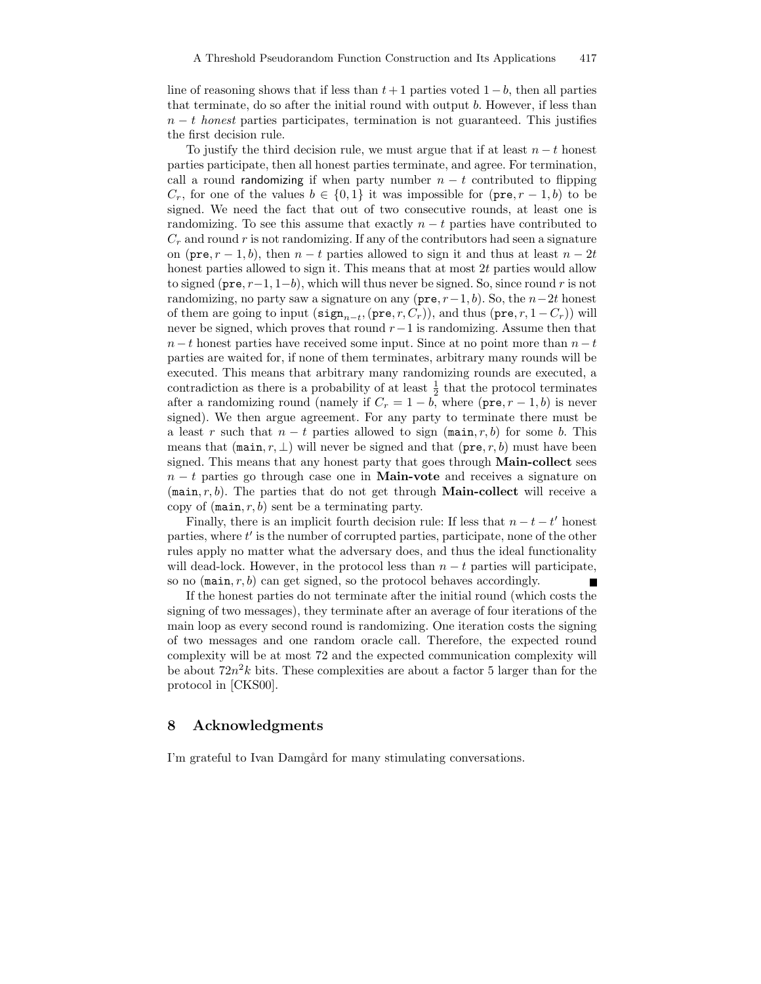line of reasoning shows that if less than  $t + 1$  parties voted  $1 - b$ , then all parties that terminate, do so after the initial round with output b. However, if less than  $n - t$  honest parties participates, termination is not guaranteed. This justifies the first decision rule.

To justify the third decision rule, we must argue that if at least  $n - t$  honest parties participate, then all honest parties terminate, and agree. For termination, call a round randomizing if when party number  $n - t$  contributed to flipping  $C_r$ , for one of the values  $b \in \{0,1\}$  it was impossible for  $(\text{pre}, r-1, b)$  to be signed. We need the fact that out of two consecutive rounds, at least one is randomizing. To see this assume that exactly  $n - t$  parties have contributed to  $C_r$  and round r is not randomizing. If any of the contributors had seen a signature on (pre,  $r-1$ , b), then  $n-t$  parties allowed to sign it and thus at least  $n-2t$ honest parties allowed to sign it. This means that at most 2t parties would allow to signed (pre,  $r-1$ ,  $1-b$ ), which will thus never be signed. So, since round r is not randomizing, no party saw a signature on any ( $pre, r-1, b$ ). So, the  $n-2t$  honest of them are going to input  $(\texttt{sign}_{n-t},(\texttt{pre}, r, C_r))$ , and thus  $(\texttt{pre}, r, 1 - C_r))$  will never be signed, which proves that round  $r-1$  is randomizing. Assume then that  $n-t$  honest parties have received some input. Since at no point more than  $n-t$ parties are waited for, if none of them terminates, arbitrary many rounds will be executed. This means that arbitrary many randomizing rounds are executed, a contradiction as there is a probability of at least  $\frac{1}{2}$  that the protocol terminates after a randomizing round (namely if  $C_r = 1 - b$ , where (pre,  $r - 1$ , b) is never signed). We then argue agreement. For any party to terminate there must be a least r such that  $n - t$  parties allowed to sign (main, r, b) for some b. This means that  $(\text{main}, r, \perp)$  will never be signed and that  $(\text{pre}, r, b)$  must have been signed. This means that any honest party that goes through **Main-collect** sees  $n - t$  parties go through case one in **Main-vote** and receives a signature on (main,  $r, b$ ). The parties that do not get through **Main-collect** will receive a copy of  $(\text{main}, r, b)$  sent be a terminating party.

Finally, there is an implicit fourth decision rule: If less that  $n - t - t'$  honest parties, where  $t'$  is the number of corrupted parties, participate, none of the other rules apply no matter what the adversary does, and thus the ideal functionality will dead-lock. However, in the protocol less than  $n - t$  parties will participate, so no  $(\text{main}, r, b)$  can get signed, so the protocol behaves accordingly.

If the honest parties do not terminate after the initial round (which costs the signing of two messages), they terminate after an average of four iterations of the main loop as every second round is randomizing. One iteration costs the signing of two messages and one random oracle call. Therefore, the expected round complexity will be at most 72 and the expected communication complexity will be about  $72n^2k$  bits. These complexities are about a factor 5 larger than for the protocol in [CKS00].

### 8 Acknowledgments

I'm grateful to Ivan Damgård for many stimulating conversations.